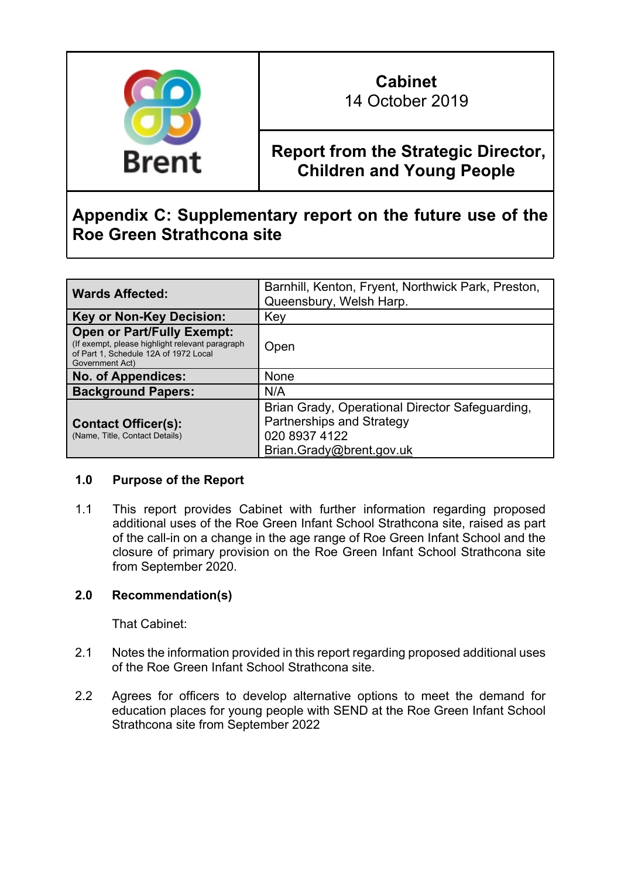

# **Cabinet** 14 October 2019

# **Report from the Strategic Director, Children and Young People**

# **Appendix C: Supplementary report on the future use of the Roe Green Strathcona site**

| <b>Wards Affected:</b>                                                                                                                            | Barnhill, Kenton, Fryent, Northwick Park, Preston,<br>Queensbury, Welsh Harp.                                             |
|---------------------------------------------------------------------------------------------------------------------------------------------------|---------------------------------------------------------------------------------------------------------------------------|
| <b>Key or Non-Key Decision:</b>                                                                                                                   | Key                                                                                                                       |
| <b>Open or Part/Fully Exempt:</b><br>(If exempt, please highlight relevant paragraph)<br>of Part 1, Schedule 12A of 1972 Local<br>Government Act) | Open                                                                                                                      |
| <b>No. of Appendices:</b>                                                                                                                         | <b>None</b>                                                                                                               |
| <b>Background Papers:</b>                                                                                                                         | N/A                                                                                                                       |
| <b>Contact Officer(s):</b><br>(Name, Title, Contact Details)                                                                                      | Brian Grady, Operational Director Safeguarding,<br>Partnerships and Strategy<br>020 8937 4122<br>Brian.Grady@brent.gov.uk |

#### **1.0 Purpose of the Report**

1.1 This report provides Cabinet with further information regarding proposed additional uses of the Roe Green Infant School Strathcona site, raised as part of the call-in on a change in the age range of Roe Green Infant School and the closure of primary provision on the Roe Green Infant School Strathcona site from September 2020.

# **2.0 Recommendation(s)**

That Cabinet:

- 2.1 Notes the information provided in this report regarding proposed additional uses of the Roe Green Infant School Strathcona site.
- 2.2 Agrees for officers to develop alternative options to meet the demand for education places for young people with SEND at the Roe Green Infant School Strathcona site from September 2022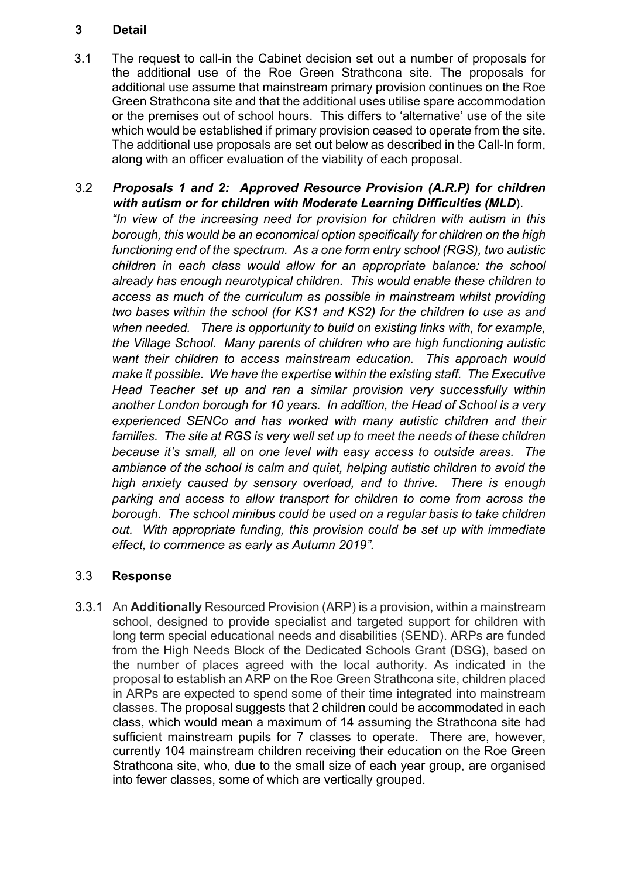# **3 Detail**

3.1 The request to call-in the Cabinet decision set out a number of proposals for the additional use of the Roe Green Strathcona site. The proposals for additional use assume that mainstream primary provision continues on the Roe Green Strathcona site and that the additional uses utilise spare accommodation or the premises out of school hours. This differs to 'alternative' use of the site which would be established if primary provision ceased to operate from the site. The additional use proposals are set out below as described in the Call-In form, along with an officer evaluation of the viability of each proposal.

# 3.2 *Proposals 1 and 2: Approved Resource Provision (A.R.P) for children with autism or for children with Moderate Learning Difficulties (MLD*).

*"In view of the increasing need for provision for children with autism in this borough, this would be an economical option specifically for children on the high functioning end of the spectrum. As a one form entry school (RGS), two autistic children in each class would allow for an appropriate balance: the school already has enough neurotypical children. This would enable these children to access as much of the curriculum as possible in mainstream whilst providing two bases within the school (for KS1 and KS2) for the children to use as and when needed. There is opportunity to build on existing links with, for example, the Village School. Many parents of children who are high functioning autistic want their children to access mainstream education. This approach would make it possible. We have the expertise within the existing staff. The Executive Head Teacher set up and ran a similar provision very successfully within another London borough for 10 years. In addition, the Head of School is a very experienced SENCo and has worked with many autistic children and their families. The site at RGS is very well set up to meet the needs of these children because it's small, all on one level with easy access to outside areas. The ambiance of the school is calm and quiet, helping autistic children to avoid the high anxiety caused by sensory overload, and to thrive. There is enough parking and access to allow transport for children to come from across the borough. The school minibus could be used on a regular basis to take children out. With appropriate funding, this provision could be set up with immediate effect, to commence as early as Autumn 2019".*

# 3.3 **Response**

3.3.1 An **Additionally** Resourced Provision (ARP) is a provision, within a mainstream school, designed to provide specialist and targeted support for children with long term special educational needs and disabilities (SEND). ARPs are funded from the High Needs Block of the Dedicated Schools Grant (DSG), based on the number of places agreed with the local authority. As indicated in the proposal to establish an ARP on the Roe Green Strathcona site, children placed in ARPs are expected to spend some of their time integrated into mainstream classes. The proposal suggests that 2 children could be accommodated in each class, which would mean a maximum of 14 assuming the Strathcona site had sufficient mainstream pupils for 7 classes to operate. There are, however, currently 104 mainstream children receiving their education on the Roe Green Strathcona site, who, due to the small size of each year group, are organised into fewer classes, some of which are vertically grouped.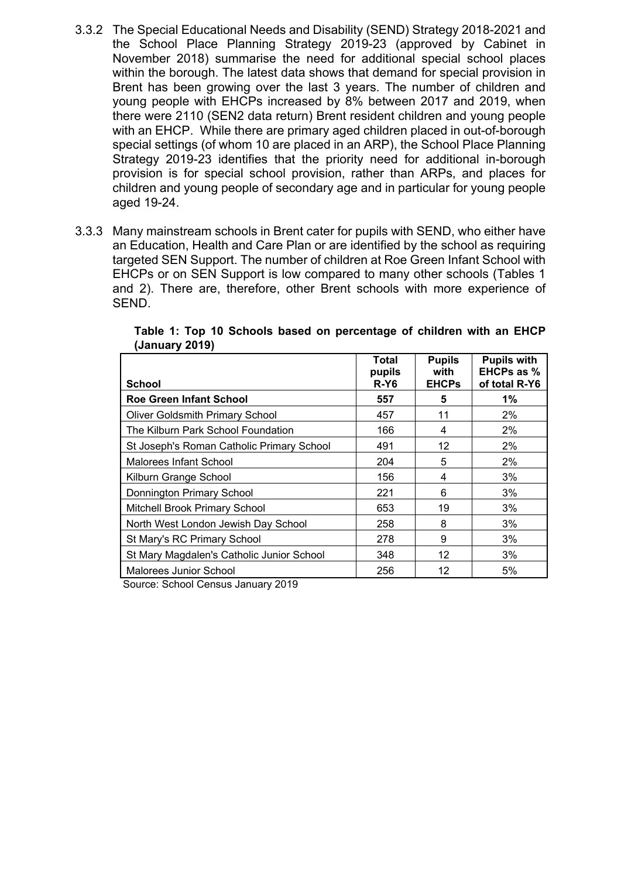- 3.3.2 The Special Educational Needs and Disability (SEND) Strategy 2018-2021 and the School Place Planning Strategy 2019-23 (approved by Cabinet in November 2018) summarise the need for additional special school places within the borough. The latest data shows that demand for special provision in Brent has been growing over the last 3 years. The number of children and young people with EHCPs increased by 8% between 2017 and 2019, when there were 2110 (SEN2 data return) Brent resident children and young people with an EHCP. While there are primary aged children placed in out-of-borough special settings (of whom 10 are placed in an ARP), the School Place Planning Strategy 2019-23 identifies that the priority need for additional in-borough provision is for special school provision, rather than ARPs, and places for children and young people of secondary age and in particular for young people aged 19-24.
- 3.3.3 Many mainstream schools in Brent cater for pupils with SEND, who either have an Education, Health and Care Plan or are identified by the school as requiring targeted SEN Support. The number of children at Roe Green Infant School with EHCPs or on SEN Support is low compared to many other schools (Tables 1 and 2). There are, therefore, other Brent schools with more experience of SEND.

| <b>School</b>                             | Total<br>pupils<br>R-Y6 | <b>Pupils</b><br>with<br><b>EHCPs</b> | <b>Pupils with</b><br><b>EHCPs as %</b><br>of total R-Y6 |
|-------------------------------------------|-------------------------|---------------------------------------|----------------------------------------------------------|
| <b>Roe Green Infant School</b>            | 557                     | 5                                     | 1%                                                       |
| <b>Oliver Goldsmith Primary School</b>    | 457                     | 11                                    | 2%                                                       |
| The Kilburn Park School Foundation        | 166                     | 4                                     | 2%                                                       |
| St Joseph's Roman Catholic Primary School | 491                     | 12                                    | 2%                                                       |
| <b>Malorees Infant School</b>             | 204                     | 5                                     | 2%                                                       |
| Kilburn Grange School                     | 156                     | 4                                     | 3%                                                       |
| Donnington Primary School                 | 221                     | 6                                     | 3%                                                       |
| Mitchell Brook Primary School             | 653                     | 19                                    | 3%                                                       |
| North West London Jewish Day School       | 258                     | 8                                     | 3%                                                       |
| St Mary's RC Primary School               | 278                     | 9                                     | 3%                                                       |
| St Mary Magdalen's Catholic Junior School | 348                     | 12                                    | 3%                                                       |
| Malorees Junior School                    | 256                     | 12                                    | 5%                                                       |

**Table 1: Top 10 Schools based on percentage of children with an EHCP (January 2019)**

Source: School Census January 2019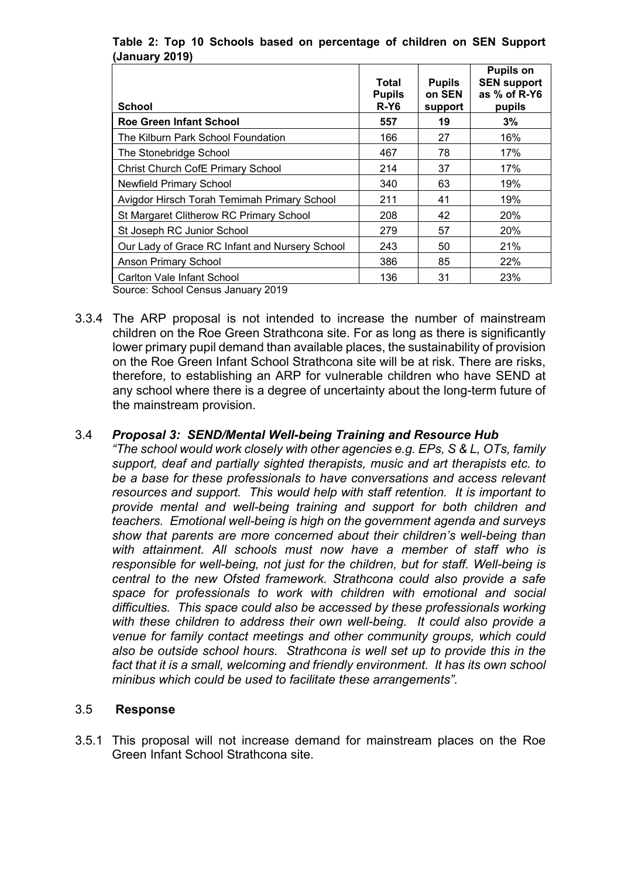| <b>Pupils on</b><br><b>SEN support</b><br>as % of R-Y6<br>pupils |
|------------------------------------------------------------------|
| 3%                                                               |
| 16%                                                              |
| 17%                                                              |
| 17%                                                              |
| 19%                                                              |
| 19%                                                              |
| 20%                                                              |
| 20%                                                              |
| 21%                                                              |
| 22%                                                              |
| 23%                                                              |
|                                                                  |

### **Table 2: Top 10 Schools based on percentage of children on SEN Support (January 2019)**

Source: School Census January 2019

3.3.4 The ARP proposal is not intended to increase the number of mainstream children on the Roe Green Strathcona site. For as long as there is significantly lower primary pupil demand than available places, the sustainability of provision on the Roe Green Infant School Strathcona site will be at risk. There are risks, therefore, to establishing an ARP for vulnerable children who have SEND at any school where there is a degree of uncertainty about the long-term future of the mainstream provision.

## 3.4 *Proposal 3: SEND/Mental Well-being Training and Resource Hub*

*"The school would work closely with other agencies e.g. EPs, S & L, OTs, family support, deaf and partially sighted therapists, music and art therapists etc. to be a base for these professionals to have conversations and access relevant resources and support. This would help with staff retention. It is important to provide mental and well-being training and support for both children and teachers. Emotional well-being is high on the government agenda and surveys show that parents are more concerned about their children's well-being than with attainment. All schools must now have a member of staff who is responsible for well-being, not just for the children, but for staff. Well-being is central to the new Ofsted framework. Strathcona could also provide a safe space for professionals to work with children with emotional and social difficulties. This space could also be accessed by these professionals working with these children to address their own well-being. It could also provide a venue for family contact meetings and other community groups, which could also be outside school hours. Strathcona is well set up to provide this in the fact that it is a small, welcoming and friendly environment. It has its own school minibus which could be used to facilitate these arrangements".*

#### 3.5 **Response**

3.5.1 This proposal will not increase demand for mainstream places on the Roe Green Infant School Strathcona site.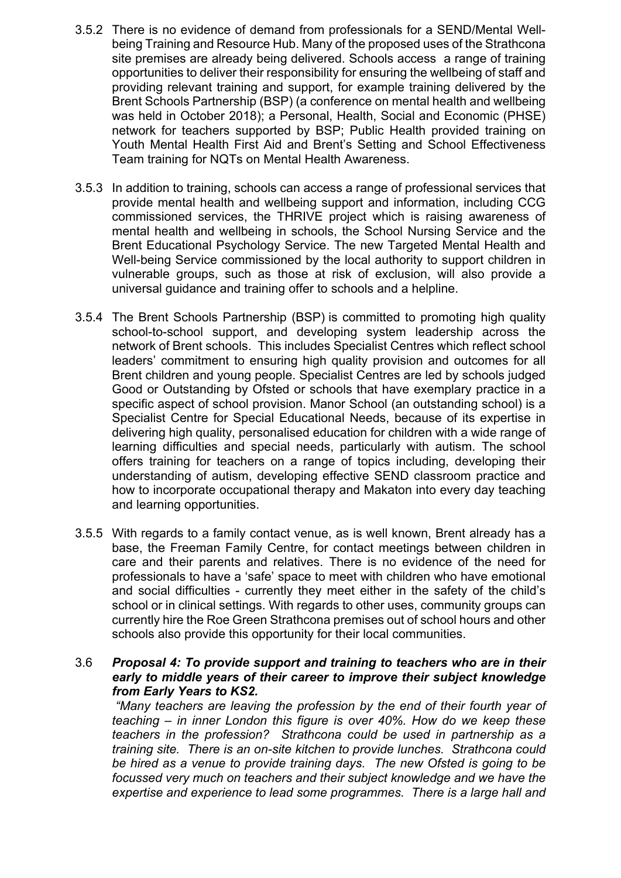- 3.5.2 There is no evidence of demand from professionals for a SEND/Mental Wellbeing Training and Resource Hub. Many of the proposed uses of the Strathcona site premises are already being delivered. Schools access a range of training opportunities to deliver their responsibility for ensuring the wellbeing of staff and providing relevant training and support, for example training delivered by the Brent Schools Partnership (BSP) (a conference on mental health and wellbeing was held in October 2018); a Personal, Health, Social and Economic (PHSE) network for teachers supported by BSP; Public Health provided training on Youth Mental Health First Aid and Brent's Setting and School Effectiveness Team training for NQTs on Mental Health Awareness.
- 3.5.3 In addition to training, schools can access a range of professional services that provide mental health and wellbeing support and information, including CCG commissioned services, the THRIVE project which is raising awareness of mental health and wellbeing in schools, the School Nursing Service and the Brent Educational Psychology Service. The new Targeted Mental Health and Well-being Service commissioned by the local authority to support children in vulnerable groups, such as those at risk of exclusion, will also provide a universal guidance and training offer to schools and a helpline.
- 3.5.4 The Brent Schools Partnership (BSP) is committed to promoting high quality school-to-school support, and developing system leadership across the network of Brent schools. This includes Specialist Centres which reflect school leaders' commitment to ensuring high quality provision and outcomes for all Brent children and young people. Specialist Centres are led by schools judged Good or Outstanding by Ofsted or schools that have exemplary practice in a specific aspect of school provision. Manor School (an outstanding school) is a Specialist Centre for Special Educational Needs, because of its expertise in delivering high quality, personalised education for children with a wide range of learning difficulties and special needs, particularly with autism. The school offers training for teachers on a range of topics including, developing their understanding of autism, developing effective SEND classroom practice and how to incorporate occupational therapy and Makaton into every day teaching and learning opportunities.
- 3.5.5 With regards to a family contact venue, as is well known, Brent already has a base, the Freeman Family Centre, for contact meetings between children in care and their parents and relatives. There is no evidence of the need for professionals to have a 'safe' space to meet with children who have emotional and social difficulties - currently they meet either in the safety of the child's school or in clinical settings. With regards to other uses, community groups can currently hire the Roe Green Strathcona premises out of school hours and other schools also provide this opportunity for their local communities.

### 3.6 *Proposal 4: To provide support and training to teachers who are in their early to middle years of their career to improve their subject knowledge from Early Years to KS2.*

*"Many teachers are leaving the profession by the end of their fourth year of teaching – in inner London this figure is over 40%. How do we keep these teachers in the profession? Strathcona could be used in partnership as a training site. There is an on-site kitchen to provide lunches. Strathcona could be hired as a venue to provide training days. The new Ofsted is going to be focussed very much on teachers and their subject knowledge and we have the expertise and experience to lead some programmes. There is a large hall and*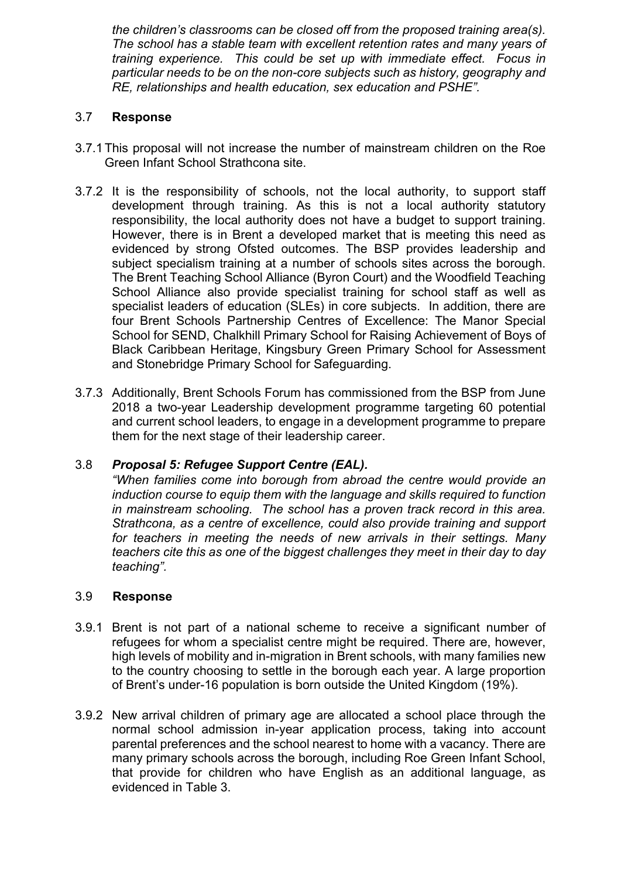*the children's classrooms can be closed off from the proposed training area(s). The school has a stable team with excellent retention rates and many years of training experience. This could be set up with immediate effect. Focus in particular needs to be on the non-core subjects such as history, geography and RE, relationships and health education, sex education and PSHE".*

### 3.7 **Response**

- 3.7.1This proposal will not increase the number of mainstream children on the Roe Green Infant School Strathcona site.
- 3.7.2 It is the responsibility of schools, not the local authority, to support staff development through training. As this is not a local authority statutory responsibility, the local authority does not have a budget to support training. However, there is in Brent a developed market that is meeting this need as evidenced by strong Ofsted outcomes. The BSP provides leadership and subject specialism training at a number of schools sites across the borough. The Brent Teaching School Alliance (Byron Court) and the Woodfield Teaching School Alliance also provide specialist training for school staff as well as specialist leaders of education (SLEs) in core subjects. In addition, there are four Brent Schools Partnership Centres of Excellence: The Manor Special School for SEND, Chalkhill Primary School for Raising Achievement of Boys of Black Caribbean Heritage, Kingsbury Green Primary School for Assessment and Stonebridge Primary School for Safeguarding.
- 3.7.3 Additionally, Brent Schools Forum has commissioned from the BSP from June 2018 a two-year Leadership development programme targeting 60 potential and current school leaders, to engage in a development programme to prepare them for the next stage of their leadership career.

# 3.8 *Proposal 5: Refugee Support Centre (EAL).*

*"When families come into borough from abroad the centre would provide an induction course to equip them with the language and skills required to function in mainstream schooling. The school has a proven track record in this area. Strathcona, as a centre of excellence, could also provide training and support for teachers in meeting the needs of new arrivals in their settings. Many teachers cite this as one of the biggest challenges they meet in their day to day teaching".*

#### 3.9 **Response**

- 3.9.1 Brent is not part of a national scheme to receive a significant number of refugees for whom a specialist centre might be required. There are, however, high levels of mobility and in-migration in Brent schools, with many families new to the country choosing to settle in the borough each year. A large proportion of Brent's under-16 population is born outside the United Kingdom (19%).
- 3.9.2 New arrival children of primary age are allocated a school place through the normal school admission in-year application process, taking into account parental preferences and the school nearest to home with a vacancy. There are many primary schools across the borough, including Roe Green Infant School, that provide for children who have English as an additional language, as evidenced in Table 3.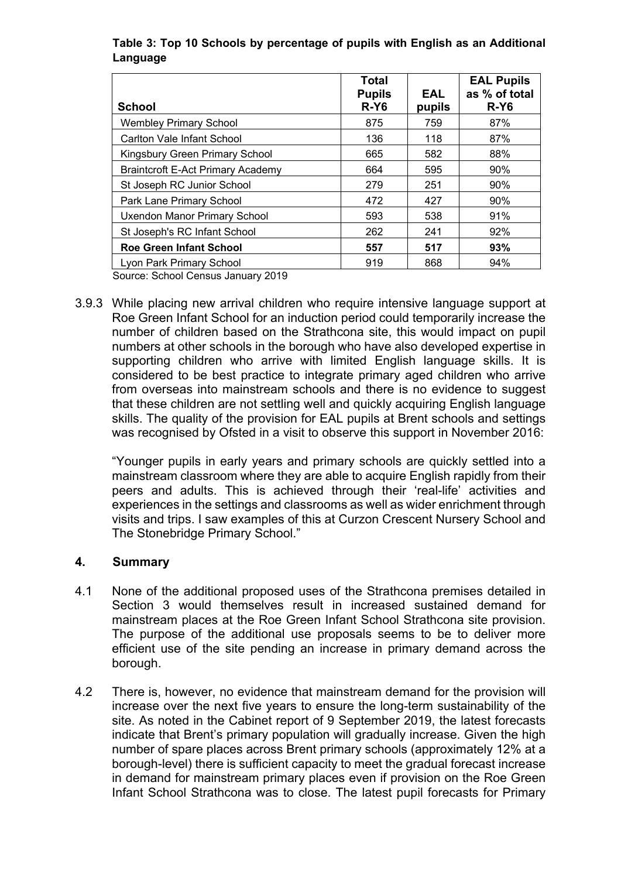| <b>School</b>                            | Total<br><b>Pupils</b><br>$R-Y6$ | EAL<br>pupils | <b>EAL Pupils</b><br>as % of total<br>$R-Y6$ |
|------------------------------------------|----------------------------------|---------------|----------------------------------------------|
| <b>Wembley Primary School</b>            | 875                              | 759           | 87%                                          |
| Carlton Vale Infant School               | 136                              | 118           | 87%                                          |
| Kingsbury Green Primary School           | 665                              | 582           | 88%                                          |
| <b>Braintcroft E-Act Primary Academy</b> | 664                              | 595           | 90%                                          |
| St Joseph RC Junior School               | 279                              | 251           | 90%                                          |
| Park Lane Primary School                 | 472                              | 427           | 90%                                          |
| <b>Uxendon Manor Primary School</b>      | 593                              | 538           | 91%                                          |
| St Joseph's RC Infant School             | 262                              | 241           | 92%                                          |
| <b>Roe Green Infant School</b>           | 557                              | 517           | 93%                                          |
| Lyon Park Primary School                 | 919                              | 868           | 94%                                          |

# **Table 3: Top 10 Schools by percentage of pupils with English as an Additional Language**

Source: School Census January 2019

3.9.3 While placing new arrival children who require intensive language support at Roe Green Infant School for an induction period could temporarily increase the number of children based on the Strathcona site, this would impact on pupil numbers at other schools in the borough who have also developed expertise in supporting children who arrive with limited English language skills. It is considered to be best practice to integrate primary aged children who arrive from overseas into mainstream schools and there is no evidence to suggest that these children are not settling well and quickly acquiring English language skills. The quality of the provision for EAL pupils at Brent schools and settings was recognised by Ofsted in a visit to observe this support in November 2016:

"Younger pupils in early years and primary schools are quickly settled into a mainstream classroom where they are able to acquire English rapidly from their peers and adults. This is achieved through their 'real-life' activities and experiences in the settings and classrooms as well as wider enrichment through visits and trips. I saw examples of this at Curzon Crescent Nursery School and The Stonebridge Primary School."

#### **4. Summary**

- 4.1 None of the additional proposed uses of the Strathcona premises detailed in Section 3 would themselves result in increased sustained demand for mainstream places at the Roe Green Infant School Strathcona site provision. The purpose of the additional use proposals seems to be to deliver more efficient use of the site pending an increase in primary demand across the borough.
- 4.2 There is, however, no evidence that mainstream demand for the provision will increase over the next five years to ensure the long-term sustainability of the site. As noted in the Cabinet report of 9 September 2019, the latest forecasts indicate that Brent's primary population will gradually increase. Given the high number of spare places across Brent primary schools (approximately 12% at a borough-level) there is sufficient capacity to meet the gradual forecast increase in demand for mainstream primary places even if provision on the Roe Green Infant School Strathcona was to close. The latest pupil forecasts for Primary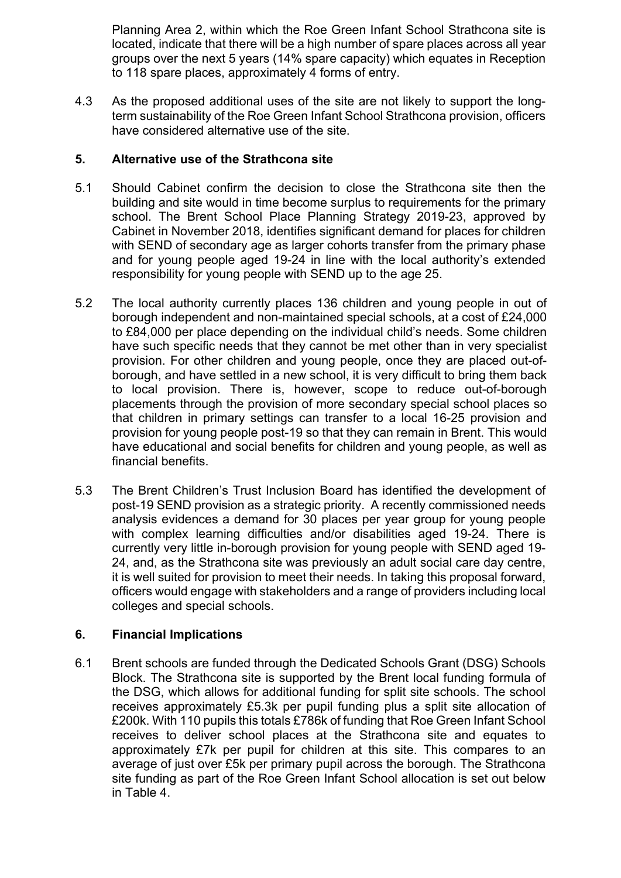Planning Area 2, within which the Roe Green Infant School Strathcona site is located, indicate that there will be a high number of spare places across all year groups over the next 5 years (14% spare capacity) which equates in Reception to 118 spare places, approximately 4 forms of entry.

4.3 As the proposed additional uses of the site are not likely to support the longterm sustainability of the Roe Green Infant School Strathcona provision, officers have considered alternative use of the site.

## **5. Alternative use of the Strathcona site**

- 5.1 Should Cabinet confirm the decision to close the Strathcona site then the building and site would in time become surplus to requirements for the primary school. The Brent School Place Planning Strategy 2019-23, approved by Cabinet in November 2018, identifies significant demand for places for children with SEND of secondary age as larger cohorts transfer from the primary phase and for young people aged 19-24 in line with the local authority's extended responsibility for young people with SEND up to the age 25.
- 5.2 The local authority currently places 136 children and young people in out of borough independent and non-maintained special schools, at a cost of £24,000 to £84,000 per place depending on the individual child's needs. Some children have such specific needs that they cannot be met other than in very specialist provision. For other children and young people, once they are placed out-ofborough, and have settled in a new school, it is very difficult to bring them back to local provision. There is, however, scope to reduce out-of-borough placements through the provision of more secondary special school places so that children in primary settings can transfer to a local 16-25 provision and provision for young people post-19 so that they can remain in Brent. This would have educational and social benefits for children and young people, as well as financial benefits.
- 5.3 The Brent Children's Trust Inclusion Board has identified the development of post-19 SEND provision as a strategic priority. A recently commissioned needs analysis evidences a demand for 30 places per year group for young people with complex learning difficulties and/or disabilities aged 19-24. There is currently very little in-borough provision for young people with SEND aged 19- 24, and, as the Strathcona site was previously an adult social care day centre, it is well suited for provision to meet their needs. In taking this proposal forward, officers would engage with stakeholders and a range of providers including local colleges and special schools.

#### **6. Financial Implications**

6.1 Brent schools are funded through the Dedicated Schools Grant (DSG) Schools Block. The Strathcona site is supported by the Brent local funding formula of the DSG, which allows for additional funding for split site schools. The school receives approximately £5.3k per pupil funding plus a split site allocation of £200k. With 110 pupils this totals £786k of funding that Roe Green Infant School receives to deliver school places at the Strathcona site and equates to approximately £7k per pupil for children at this site. This compares to an average of just over £5k per primary pupil across the borough. The Strathcona site funding as part of the Roe Green Infant School allocation is set out below in Table 4.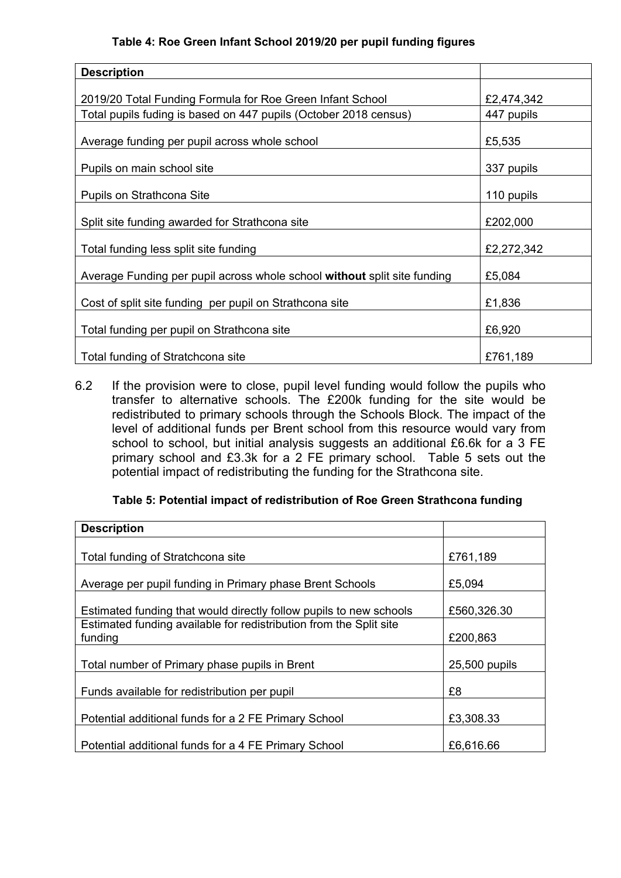#### **Table 4: Roe Green Infant School 2019/20 per pupil funding figures**

| <b>Description</b>                                                       |            |
|--------------------------------------------------------------------------|------------|
|                                                                          |            |
| 2019/20 Total Funding Formula for Roe Green Infant School                | £2,474,342 |
| Total pupils fuding is based on 447 pupils (October 2018 census)         | 447 pupils |
| Average funding per pupil across whole school                            | £5,535     |
| Pupils on main school site                                               | 337 pupils |
| Pupils on Strathcona Site                                                | 110 pupils |
| Split site funding awarded for Strathcona site                           | £202,000   |
| Total funding less split site funding                                    | £2,272,342 |
| Average Funding per pupil across whole school without split site funding | £5,084     |
| Cost of split site funding per pupil on Strathcona site                  | £1,836     |
| Total funding per pupil on Strathcona site                               | £6,920     |
| Total funding of Stratchcona site                                        | £761,189   |

6.2 If the provision were to close, pupil level funding would follow the pupils who transfer to alternative schools. The £200k funding for the site would be redistributed to primary schools through the Schools Block. The impact of the level of additional funds per Brent school from this resource would vary from school to school, but initial analysis suggests an additional £6.6k for a 3 FE primary school and £3.3k for a 2 FE primary school. Table 5 sets out the potential impact of redistributing the funding for the Strathcona site.

#### **Table 5: Potential impact of redistribution of Roe Green Strathcona funding**

| <b>Description</b>                                                            |               |
|-------------------------------------------------------------------------------|---------------|
| Total funding of Stratchcona site                                             | £761,189      |
| Average per pupil funding in Primary phase Brent Schools                      | £5,094        |
| Estimated funding that would directly follow pupils to new schools            | £560,326.30   |
| Estimated funding available for redistribution from the Split site<br>funding | £200,863      |
| Total number of Primary phase pupils in Brent                                 | 25,500 pupils |
| Funds available for redistribution per pupil                                  | £8            |
| Potential additional funds for a 2 FE Primary School                          | £3,308.33     |
| Potential additional funds for a 4 FE Primary School                          | £6,616.66     |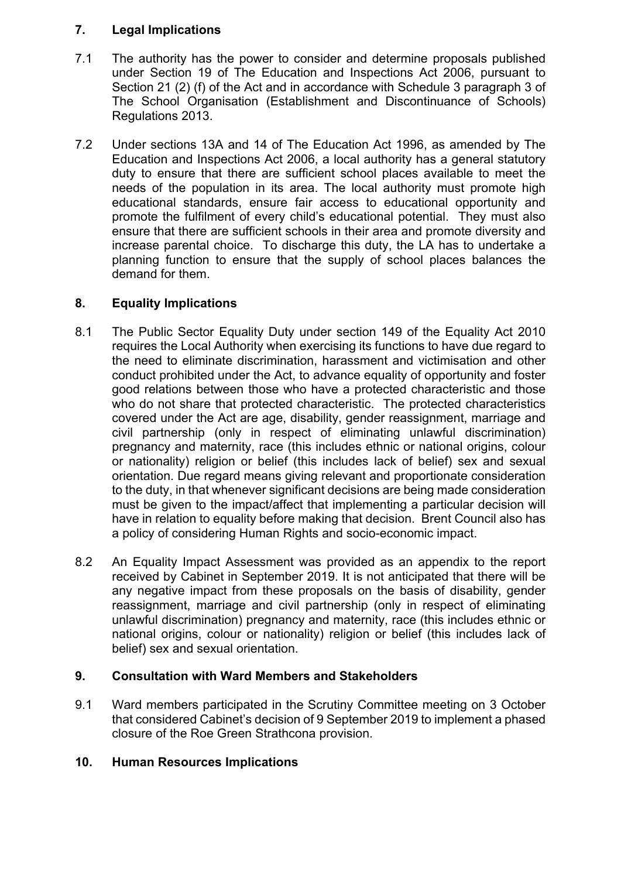# **7. Legal Implications**

- 7.1 The authority has the power to consider and determine proposals published under Section 19 of The Education and Inspections Act 2006, pursuant to Section 21 (2) (f) of the Act and in accordance with Schedule 3 paragraph 3 of The School Organisation (Establishment and Discontinuance of Schools) Regulations 2013.
- 7.2 Under sections 13A and 14 of The Education Act 1996, as amended by The Education and Inspections Act 2006, a local authority has a general statutory duty to ensure that there are sufficient school places available to meet the needs of the population in its area. The local authority must promote high educational standards, ensure fair access to educational opportunity and promote the fulfilment of every child's educational potential. They must also ensure that there are sufficient schools in their area and promote diversity and increase parental choice. To discharge this duty, the LA has to undertake a planning function to ensure that the supply of school places balances the demand for them.

### **8. Equality Implications**

- 8.1 The Public Sector Equality Duty under section 149 of the Equality Act 2010 requires the Local Authority when exercising its functions to have due regard to the need to eliminate discrimination, harassment and victimisation and other conduct prohibited under the Act, to advance equality of opportunity and foster good relations between those who have a protected characteristic and those who do not share that protected characteristic. The protected characteristics covered under the Act are age, disability, gender reassignment, marriage and civil partnership (only in respect of eliminating unlawful discrimination) pregnancy and maternity, race (this includes ethnic or national origins, colour or nationality) religion or belief (this includes lack of belief) sex and sexual orientation. Due regard means giving relevant and proportionate consideration to the duty, in that whenever significant decisions are being made consideration must be given to the impact/affect that implementing a particular decision will have in relation to equality before making that decision. Brent Council also has a policy of considering Human Rights and socio-economic impact.
- 8.2 An Equality Impact Assessment was provided as an appendix to the report received by Cabinet in September 2019. It is not anticipated that there will be any negative impact from these proposals on the basis of disability, gender reassignment, marriage and civil partnership (only in respect of eliminating unlawful discrimination) pregnancy and maternity, race (this includes ethnic or national origins, colour or nationality) religion or belief (this includes lack of belief) sex and sexual orientation.

# **9. Consultation with Ward Members and Stakeholders**

9.1 Ward members participated in the Scrutiny Committee meeting on 3 October that considered Cabinet's decision of 9 September 2019 to implement a phased closure of the Roe Green Strathcona provision.

#### **10. Human Resources Implications**